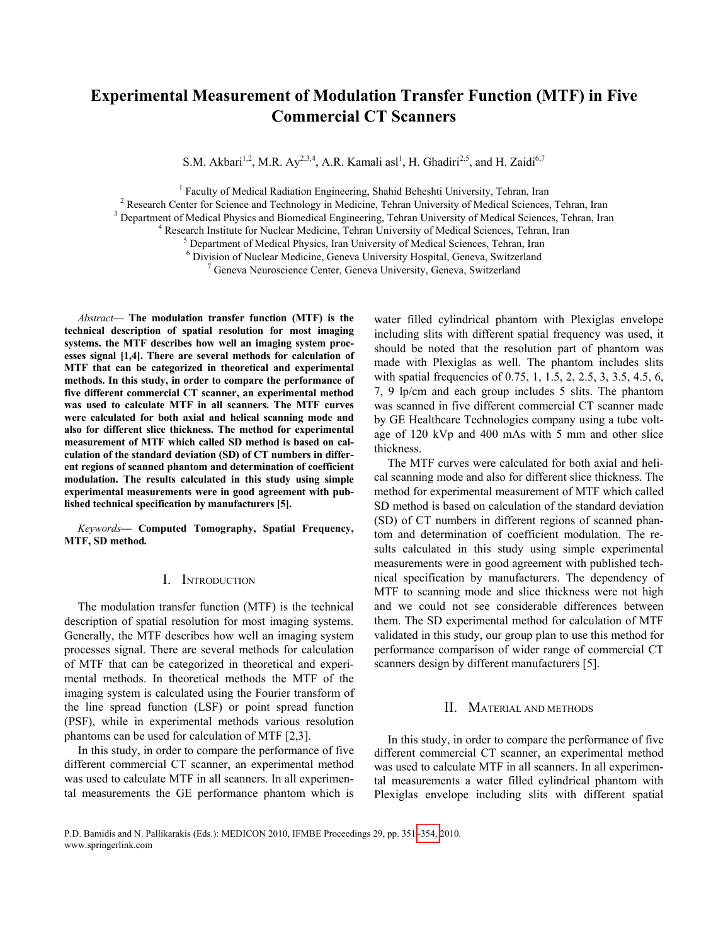# **Experimental Measurement of Modulation Transfer Function (MTF) in Five Commercial CT Scanners**

S.M. Akbari<sup>1,2</sup>, M.R. Ay<sup>2,3,4</sup>, A.R. Kamali asl<sup>1</sup>, H. Ghadiri<sup>2,5</sup>, and H. Zaidi<sup>6,7</sup>

<sup>1</sup> Faculty of Medical Radiation Engineering, Shahid Beheshti University, Tehran, Iran <sup>2</sup> Bessersh Center for Science and Technology in Medicine, Tehran University of Medical Sciences <sup>2</sup> Research Center for Science and Technology in Medicine, Tehran University of Medical Sciences, Tehran, Iran <sup>3</sup> Department of Medical Physics and Biomedical Engineering, Tehran University of Medical Sciences, Tehran, Iran <sup>4</sup> Research Institute for Nuclear Medicine, Tehran University of Medical Sciences, Tehran, Iran <sup>5</sup> Department of Medical Physics, Iran University of Medical Sciences, Tehran, Iran <sup>6</sup> Division of Nuclear Medicine, Geneva University Hospital, Geneva, Switzerland

 $7$  Geneva Neuroscience Center, Geneva University, Geneva, Switzerland

*Abstract*— **The modulation transfer function (MTF) is the technical description of spatial resolution for most imaging systems. the MTF describes how well an imaging system processes signal [1,4]. There are several methods for calculation of MTF that can be categorized in theoretical and experimental methods. In this study, in order to compare the performance of five different commercial CT scanner, an experimental method was used to calculate MTF in all scanners. The MTF curves were calculated for both axial and helical scanning mode and also for different slice thickness. The method for experimental measurement of MTF which called SD method is based on calculation of the standard deviation (SD) of CT numbers in different regions of scanned phantom and determination of coefficient modulation. The results calculated in this study using simple experimental measurements were in good agreement with published technical specification by manufacturers [5].** 

*Keywords***— Computed Tomography, Spatial Frequency, MTF, SD method***.* 

### I. INTRODUCTION

The modulation transfer function (MTF) is the technical description of spatial resolution for most imaging systems. Generally, the MTF describes how well an imaging system processes signal. There are several methods for calculation of MTF that can be categorized in theoretical and experimental methods. In theoretical methods the MTF of the imaging system is calculated using the Fourier transform of the line spread function (LSF) or point spread function (PSF), while in experimental methods various resolution phantoms can be used for calculation of MTF [2,3].

In this study, in order to compare the performance of five different commercial CT scanner, an experimental method was used to calculate MTF in all scanners. In all experimental measurements the GE performance phantom which is

water filled cylindrical phantom with Plexiglas envelope including slits with different spatial frequency was used, it should be noted that the resolution part of phantom was made with Plexiglas as well. The phantom includes slits with spatial frequencies of 0.75, 1, 1.5, 2, 2.5, 3, 3.5, 4.5, 6, 7, 9 lp/cm and each group includes 5 slits. The phantom was scanned in five different commercial CT scanner made by GE Healthcare Technologies company using a tube voltage of 120 kVp and 400 mAs with 5 mm and other slice thickness.

The MTF curves were calculated for both axial and helical scanning mode and also for different slice thickness. The method for experimental measurement of MTF which called SD method is based on calculation of the standard deviation (SD) of CT numbers in different regions of scanned phantom and determination of coefficient modulation. The results calculated in this study using simple experimental measurements were in good agreement with published technical specification by manufacturers. The dependency of MTF to scanning mode and slice thickness were not high and we could not see considerable differences between them. The SD experimental method for calculation of MTF validated in this study, our group plan to use this method for performance comparison of wider range of commercial CT scanners design by different manufacturers [5].

#### II. MATERIAL AND METHODS

In this study, in order to compare the performance of five different commercial CT scanner, an experimental method was used to calculate MTF in all scanners. In all experimental measurements a water filled cylindrical phantom with Plexiglas envelope including slits with different spatial

P.D. Bamidis and N. Pallikarakis (Eds.): MEDICON 2010, IFMBE Proceedings 29, pp. 351[–354,](#page-3-0) 2010. www.springerlink.com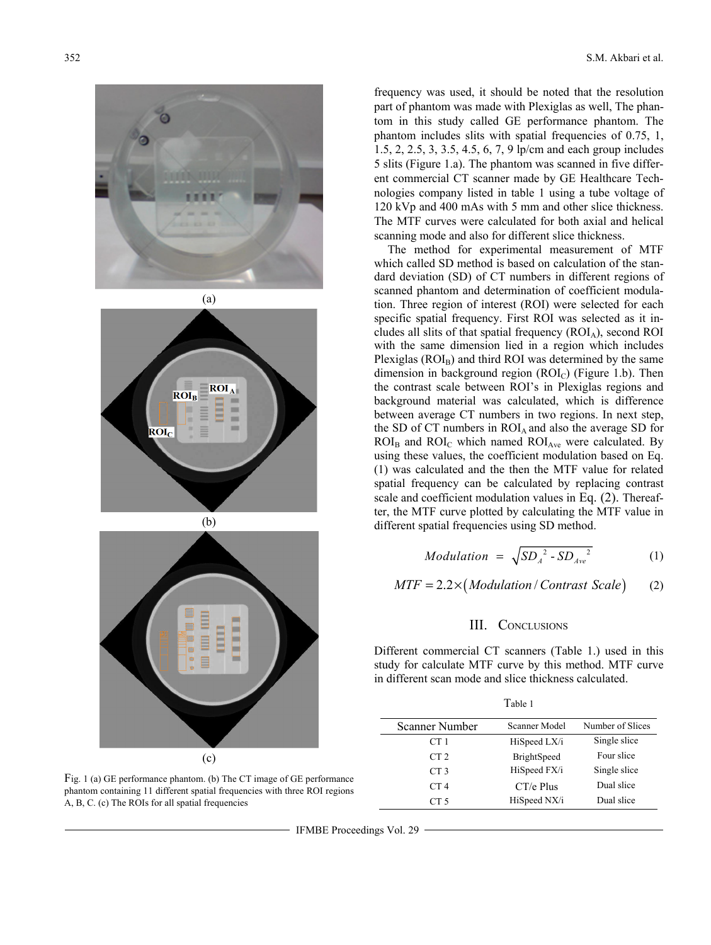





Fig. 1 (a) GE performance phantom. (b) The CT image of GE performance phantom containing 11 different spatial frequencies with three ROI regions A, B, C. (c) The ROIs for all spatial frequencies

352 S.M. Akbari et al.

frequency was used, it should be noted that the resolution part of phantom was made with Plexiglas as well, The phantom in this study called GE performance phantom. The phantom includes slits with spatial frequencies of 0.75, 1, 1.5, 2, 2.5, 3, 3.5, 4.5, 6, 7, 9 lp/cm and each group includes 5 slits (Figure 1.a). The phantom was scanned in five different commercial CT scanner made by GE Healthcare Technologies company listed in table 1 using a tube voltage of 120 kVp and 400 mAs with 5 mm and other slice thickness. The MTF curves were calculated for both axial and helical scanning mode and also for different slice thickness.

The method for experimental measurement of MTF which called SD method is based on calculation of the standard deviation (SD) of CT numbers in different regions of scanned phantom and determination of coefficient modulation. Three region of interest (ROI) were selected for each specific spatial frequency. First ROI was selected as it includes all slits of that spatial frequency  $(ROI<sub>A</sub>)$ , second ROI with the same dimension lied in a region which includes Plexiglas  $(ROI<sub>B</sub>)$  and third ROI was determined by the same dimension in background region  $(ROI<sub>C</sub>)$  (Figure 1.b). Then the contrast scale between ROI's in Plexiglas regions and background material was calculated, which is difference between average CT numbers in two regions. In next step, the SD of CT numbers in  $ROI_A$  and also the average SD for  $ROI<sub>B</sub>$  and  $ROI<sub>C</sub>$  which named  $ROI<sub>Ave</sub>$  were calculated. By using these values, the coefficient modulation based on Eq. (1) was calculated and the then the MTF value for related spatial frequency can be calculated by replacing contrast scale and coefficient modulation values in Eq. (2). Thereafter, the MTF curve plotted by calculating the MTF value in different spatial frequencies using SD method.

$$
Modulation = \sqrt{SD_A^2 - SD_{Ave}^2}
$$
 (1)

$$
MTF = 2.2 \times (Modulation / Contrast Scale)
$$
 (2)

## III. CONCLUSIONS

Different commercial CT scanners (Table 1.) used in this study for calculate MTF curve by this method. MTF curve in different scan mode and slice thickness calculated.

| г |  |
|---|--|
|   |  |

| Scanner Number  | Scanner Model      | Number of Slices |
|-----------------|--------------------|------------------|
| CT1             | HiSpeed LX/i       | Single slice     |
| CT <sub>2</sub> | <b>BrightSpeed</b> | Four slice       |
| CT <sub>3</sub> | HiSpeed FX/i       | Single slice     |
| CT <sub>4</sub> | $CT/e$ Plus        | Dual slice       |
| CT 5            | HiSpeed NX/i       | Dual slice       |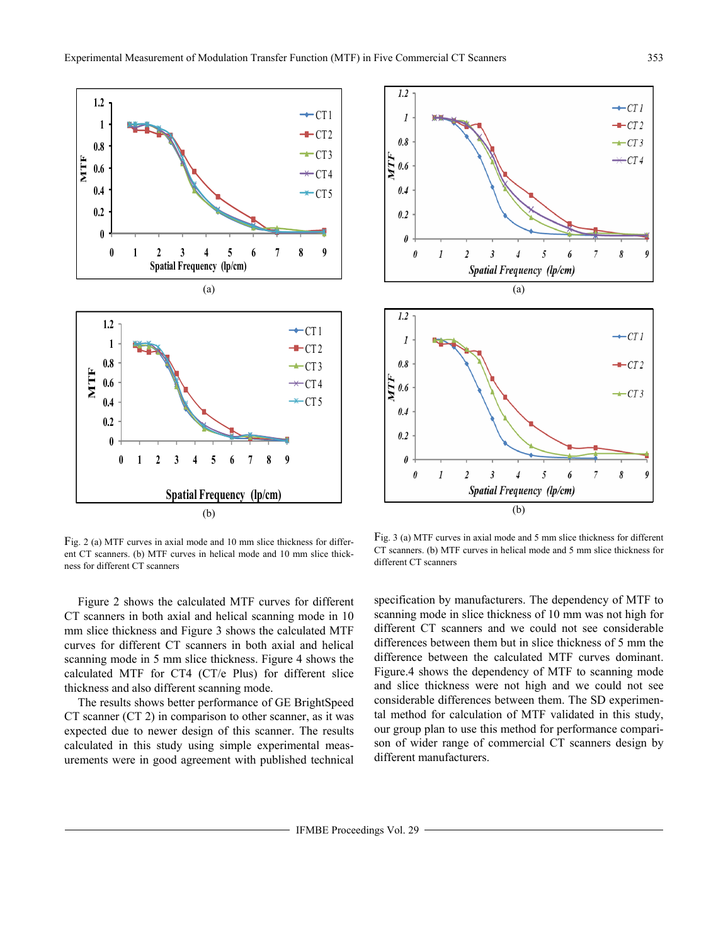

Fig. 2 (a) MTF curves in axial mode and 10 mm slice thickness for different CT scanners. (b) MTF curves in helical mode and 10 mm slice thickness for different CT scanners

Figure 2 shows the calculated MTF curves for different CT scanners in both axial and helical scanning mode in 10 mm slice thickness and Figure 3 shows the calculated MTF curves for different CT scanners in both axial and helical scanning mode in 5 mm slice thickness. Figure 4 shows the calculated MTF for CT4 (CT/e Plus) for different slice thickness and also different scanning mode.

The results shows better performance of GE BrightSpeed CT scanner (CT 2) in comparison to other scanner, as it was expected due to newer design of this scanner. The results calculated in this study using simple experimental measurements were in good agreement with published technical



(b)

Fig. 3 (a) MTF curves in axial mode and 5 mm slice thickness for different CT scanners. (b) MTF curves in helical mode and 5 mm slice thickness for different CT scanners

specification by manufacturers. The dependency of MTF to scanning mode in slice thickness of 10 mm was not high for different CT scanners and we could not see considerable differences between them but in slice thickness of 5 mm the difference between the calculated MTF curves dominant. Figure.4 shows the dependency of MTF to scanning mode and slice thickness were not high and we could not see considerable differences between them. The SD experimental method for calculation of MTF validated in this study, our group plan to use this method for performance comparison of wider range of commercial CT scanners design by different manufacturers.